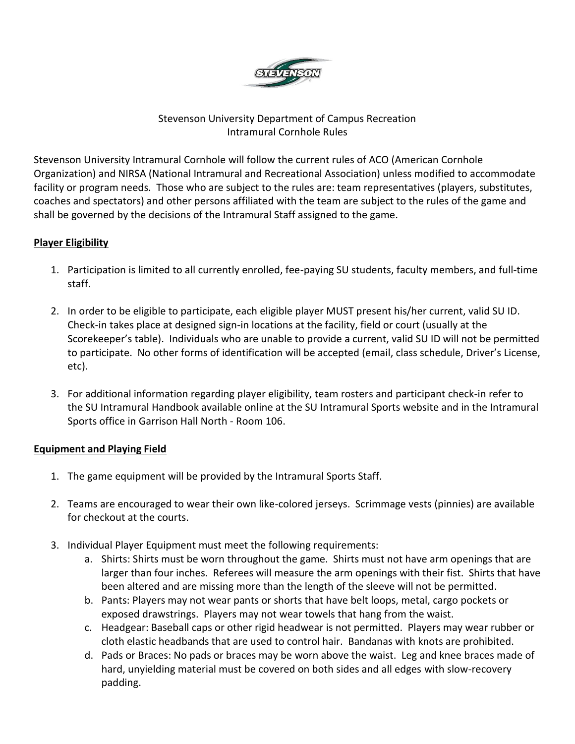

# Stevenson University Department of Campus Recreation Intramural Cornhole Rules

Stevenson University Intramural Cornhole will follow the current rules of ACO (American Cornhole Organization) and NIRSA (National Intramural and Recreational Association) unless modified to accommodate facility or program needs. Those who are subject to the rules are: team representatives (players, substitutes, coaches and spectators) and other persons affiliated with the team are subject to the rules of the game and shall be governed by the decisions of the Intramural Staff assigned to the game.

# **Player Eligibility**

- 1. Participation is limited to all currently enrolled, fee-paying SU students, faculty members, and full-time staff.
- 2. In order to be eligible to participate, each eligible player MUST present his/her current, valid SU ID. Check-in takes place at designed sign-in locations at the facility, field or court (usually at the Scorekeeper's table). Individuals who are unable to provide a current, valid SU ID will not be permitted to participate. No other forms of identification will be accepted (email, class schedule, Driver's License, etc).
- 3. For additional information regarding player eligibility, team rosters and participant check-in refer to the SU Intramural Handbook available online at the SU Intramural Sports website and in the Intramural Sports office in Garrison Hall North - Room 106.

## **Equipment and Playing Field**

- 1. The game equipment will be provided by the Intramural Sports Staff.
- 2. Teams are encouraged to wear their own like-colored jerseys. Scrimmage vests (pinnies) are available for checkout at the courts.
- 3. Individual Player Equipment must meet the following requirements:
	- a. Shirts: Shirts must be worn throughout the game. Shirts must not have arm openings that are larger than four inches. Referees will measure the arm openings with their fist. Shirts that have been altered and are missing more than the length of the sleeve will not be permitted.
	- b. Pants: Players may not wear pants or shorts that have belt loops, metal, cargo pockets or exposed drawstrings. Players may not wear towels that hang from the waist.
	- c. Headgear: Baseball caps or other rigid headwear is not permitted. Players may wear rubber or cloth elastic headbands that are used to control hair. Bandanas with knots are prohibited.
	- d. Pads or Braces: No pads or braces may be worn above the waist. Leg and knee braces made of hard, unyielding material must be covered on both sides and all edges with slow-recovery padding.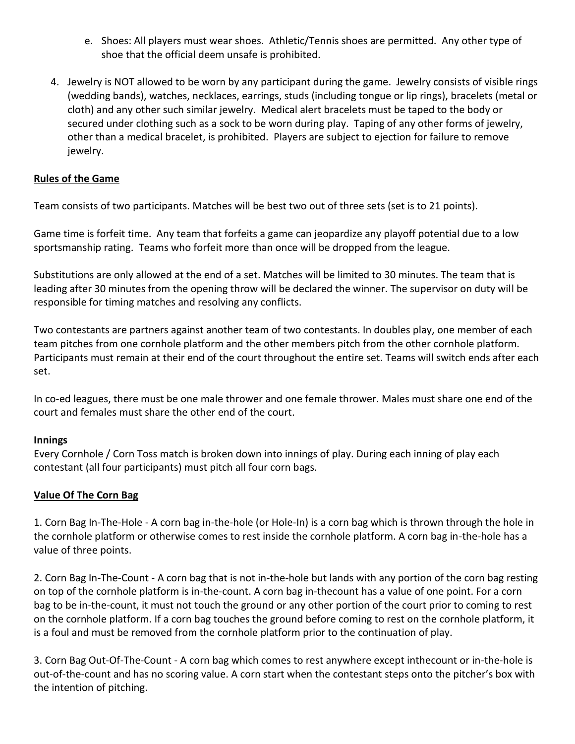- e. Shoes: All players must wear shoes. Athletic/Tennis shoes are permitted. Any other type of shoe that the official deem unsafe is prohibited.
- 4. Jewelry is NOT allowed to be worn by any participant during the game. Jewelry consists of visible rings (wedding bands), watches, necklaces, earrings, studs (including tongue or lip rings), bracelets (metal or cloth) and any other such similar jewelry. Medical alert bracelets must be taped to the body or secured under clothing such as a sock to be worn during play. Taping of any other forms of jewelry, other than a medical bracelet, is prohibited. Players are subject to ejection for failure to remove jewelry.

### **Rules of the Game**

Team consists of two participants. Matches will be best two out of three sets (set is to 21 points).

Game time is forfeit time. Any team that forfeits a game can jeopardize any playoff potential due to a low sportsmanship rating. Teams who forfeit more than once will be dropped from the league.

Substitutions are only allowed at the end of a set. Matches will be limited to 30 minutes. The team that is leading after 30 minutes from the opening throw will be declared the winner. The supervisor on duty will be responsible for timing matches and resolving any conflicts.

Two contestants are partners against another team of two contestants. In doubles play, one member of each team pitches from one cornhole platform and the other members pitch from the other cornhole platform. Participants must remain at their end of the court throughout the entire set. Teams will switch ends after each set.

In co-ed leagues, there must be one male thrower and one female thrower. Males must share one end of the court and females must share the other end of the court.

#### **Innings**

Every Cornhole / Corn Toss match is broken down into innings of play. During each inning of play each contestant (all four participants) must pitch all four corn bags.

#### **Value Of The Corn Bag**

1. Corn Bag In-The-Hole - A corn bag in-the-hole (or Hole-In) is a corn bag which is thrown through the hole in the cornhole platform or otherwise comes to rest inside the cornhole platform. A corn bag in-the-hole has a value of three points.

2. Corn Bag In-The-Count - A corn bag that is not in-the-hole but lands with any portion of the corn bag resting on top of the cornhole platform is in-the-count. A corn bag in-thecount has a value of one point. For a corn bag to be in-the-count, it must not touch the ground or any other portion of the court prior to coming to rest on the cornhole platform. If a corn bag touches the ground before coming to rest on the cornhole platform, it is a foul and must be removed from the cornhole platform prior to the continuation of play.

3. Corn Bag Out-Of-The-Count - A corn bag which comes to rest anywhere except inthecount or in-the-hole is out-of-the-count and has no scoring value. A corn start when the contestant steps onto the pitcher's box with the intention of pitching.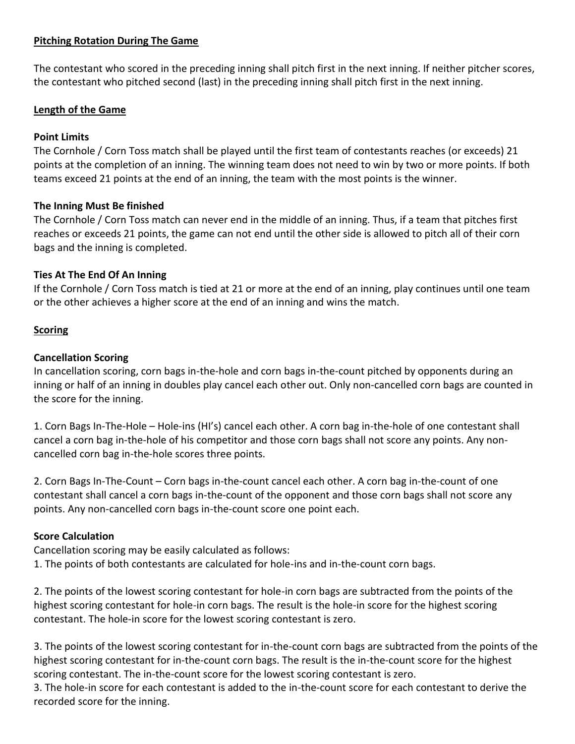## **Pitching Rotation During The Game**

The contestant who scored in the preceding inning shall pitch first in the next inning. If neither pitcher scores, the contestant who pitched second (last) in the preceding inning shall pitch first in the next inning.

#### **Length of the Game**

## **Point Limits**

The Cornhole / Corn Toss match shall be played until the first team of contestants reaches (or exceeds) 21 points at the completion of an inning. The winning team does not need to win by two or more points. If both teams exceed 21 points at the end of an inning, the team with the most points is the winner.

### **The Inning Must Be finished**

The Cornhole / Corn Toss match can never end in the middle of an inning. Thus, if a team that pitches first reaches or exceeds 21 points, the game can not end until the other side is allowed to pitch all of their corn bags and the inning is completed.

### **Ties At The End Of An Inning**

If the Cornhole / Corn Toss match is tied at 21 or more at the end of an inning, play continues until one team or the other achieves a higher score at the end of an inning and wins the match.

### **Scoring**

### **Cancellation Scoring**

In cancellation scoring, corn bags in-the-hole and corn bags in-the-count pitched by opponents during an inning or half of an inning in doubles play cancel each other out. Only non-cancelled corn bags are counted in the score for the inning.

1. Corn Bags In-The-Hole – Hole-ins (HI's) cancel each other. A corn bag in-the-hole of one contestant shall cancel a corn bag in-the-hole of his competitor and those corn bags shall not score any points. Any noncancelled corn bag in-the-hole scores three points.

2. Corn Bags In-The-Count – Corn bags in-the-count cancel each other. A corn bag in-the-count of one contestant shall cancel a corn bags in-the-count of the opponent and those corn bags shall not score any points. Any non-cancelled corn bags in-the-count score one point each.

## **Score Calculation**

Cancellation scoring may be easily calculated as follows:

1. The points of both contestants are calculated for hole-ins and in-the-count corn bags.

2. The points of the lowest scoring contestant for hole-in corn bags are subtracted from the points of the highest scoring contestant for hole-in corn bags. The result is the hole-in score for the highest scoring contestant. The hole-in score for the lowest scoring contestant is zero.

3. The points of the lowest scoring contestant for in-the-count corn bags are subtracted from the points of the highest scoring contestant for in-the-count corn bags. The result is the in-the-count score for the highest scoring contestant. The in-the-count score for the lowest scoring contestant is zero.

3. The hole-in score for each contestant is added to the in-the-count score for each contestant to derive the recorded score for the inning.